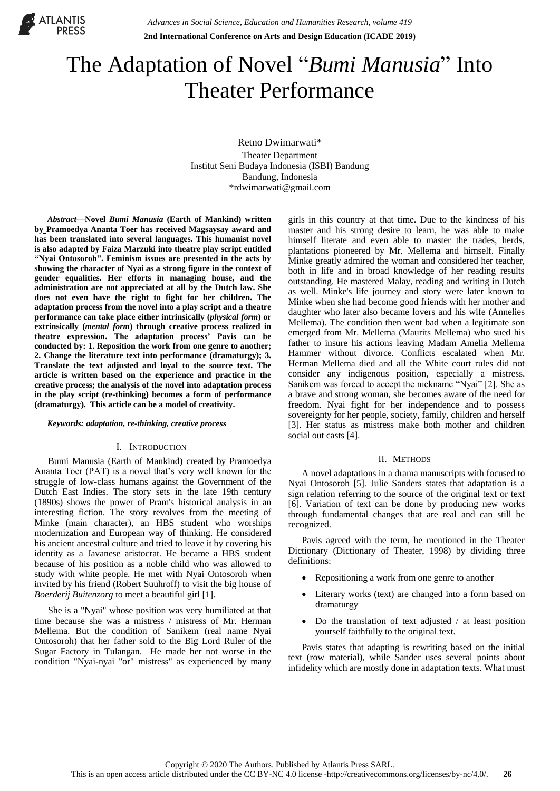

# The Adaptation of Novel "*Bumi Manusia*" Into Theater Performance

Retno Dwimarwati\* Theater Department Institut Seni Budaya Indonesia (ISBI) Bandung Bandung, Indonesia \*rdwimarwati@gmail.com

*Abstract***—Novel** *Bumi Manusia* **(Earth of Mankind) written by Pramoedya Ananta Toer has received Magsaysay award and has been translated into several languages. This humanist novel is also adapted by Faiza Marzuki into theatre play script entitled "Nyai Ontosoroh". Feminism issues are presented in the acts by showing the character of Nyai as a strong figure in the context of gender equalities. Her efforts in managing house, and the administration are not appreciated at all by the Dutch law. She does not even have the right to fight for her children. The adaptation process from the novel into a play script and a theatre performance can take place either intrinsically (***physical form***) or extrinsically (***mental form***) through creative process realized in theatre expression. The adaptation process' Pavis can be conducted by: 1. Reposition the work from one genre to another; 2. Change the literature text into performance (dramaturgy); 3. Translate the text adjusted and loyal to the source text. The article is written based on the experience and practice in the creative process; the analysis of the novel into adaptation process in the play script (re-thinking) becomes a form of performance (dramaturgy). This article can be a model of creativity.**

#### *Keywords: adaptation, re-thinking, creative process*

# I. INTRODUCTION

Bumi Manusia (Earth of Mankind) created by Pramoedya Ananta Toer (PAT) is a novel that's very well known for the struggle of low-class humans against the Government of the Dutch East Indies. The story sets in the late 19th century (1890s) shows the power of Pram's historical analysis in an interesting fiction. The story revolves from the meeting of Minke (main character), an HBS student who worships modernization and European way of thinking. He considered his ancient ancestral culture and tried to leave it by covering his identity as a Javanese aristocrat. He became a HBS student because of his position as a noble child who was allowed to study with white people. He met with Nyai Ontosoroh when invited by his friend (Robert Suuhroff) to visit the big house of *Boerderij Buitenzorg* to meet a beautiful girl [1].

She is a "Nyai" whose position was very humiliated at that time because she was a mistress / mistress of Mr. Herman Mellema. But the condition of Sanikem (real name Nyai Ontosoroh) that her father sold to the Big Lord Ruler of the Sugar Factory in Tulangan. He made her not worse in the condition "Nyai-nyai "or" mistress" as experienced by many

girls in this country at that time. Due to the kindness of his master and his strong desire to learn, he was able to make himself literate and even able to master the trades, herds, plantations pioneered by Mr. Mellema and himself. Finally Minke greatly admired the woman and considered her teacher, both in life and in broad knowledge of her reading results outstanding. He mastered Malay, reading and writing in Dutch as well. Minke's life journey and story were later known to Minke when she had become good friends with her mother and daughter who later also became lovers and his wife (Annelies Mellema). The condition then went bad when a legitimate son emerged from Mr. Mellema (Maurits Mellema) who sued his father to insure his actions leaving Madam Amelia Mellema Hammer without divorce. Conflicts escalated when Mr. Herman Mellema died and all the White court rules did not consider any indigenous position, especially a mistress. Sanikem was forced to accept the nickname "Nyai" [2]. She as a brave and strong woman, she becomes aware of the need for freedom. Nyai fight for her independence and to possess sovereignty for her people, society, family, children and herself [3]. Her status as mistress make both mother and children social out casts [4].

#### II. METHODS

A novel adaptations in a drama manuscripts with focused to Nyai Ontosoroh [5]. Julie Sanders states that adaptation is a sign relation referring to the source of the original text or text [6]. Variation of text can be done by producing new works through fundamental changes that are real and can still be recognized.

Pavis agreed with the term, he mentioned in the Theater Dictionary (Dictionary of Theater, 1998) by dividing three definitions:

- Repositioning a work from one genre to another
- Literary works (text) are changed into a form based on dramaturgy
- Do the translation of text adjusted / at least position yourself faithfully to the original text.

Pavis states that adapting is rewriting based on the initial text (row material), while Sander uses several points about infidelity which are mostly done in adaptation texts. What must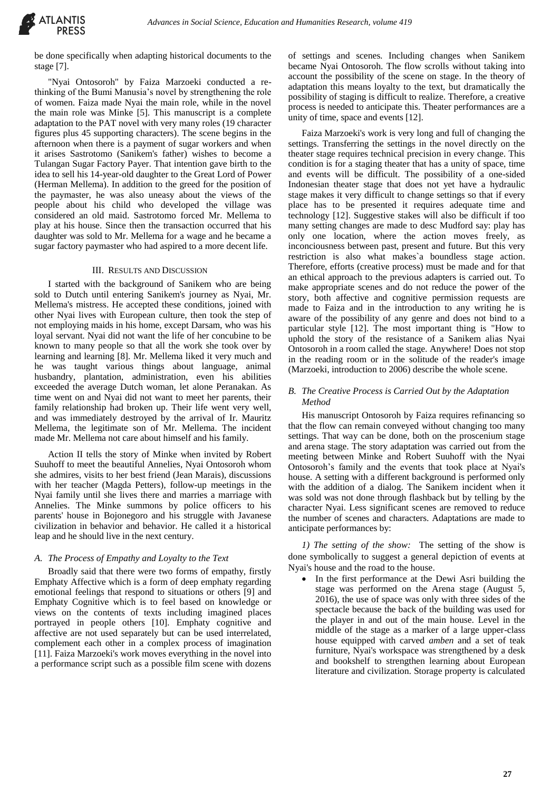

be done specifically when adapting historical documents to the stage [7].

"Nyai Ontosoroh" by Faiza Marzoeki conducted a rethinking of the Bumi Manusia's novel by strengthening the role of women. Faiza made Nyai the main role, while in the novel the main role was Minke [5]. This manuscript is a complete adaptation to the PAT novel with very many roles (19 character figures plus 45 supporting characters). The scene begins in the afternoon when there is a payment of sugar workers and when it arises Sastrotomo (Sanikem's father) wishes to become a Tulangan Sugar Factory Payer. That intention gave birth to the idea to sell his 14-year-old daughter to the Great Lord of Power (Herman Mellema). In addition to the greed for the position of the paymaster, he was also uneasy about the views of the people about his child who developed the village was considered an old maid. Sastrotomo forced Mr. Mellema to play at his house. Since then the transaction occurred that his daughter was sold to Mr. Mellema for a wage and he became a sugar factory paymaster who had aspired to a more decent life.

## III. RESULTS AND DISCUSSION

I started with the background of Sanikem who are being sold to Dutch until entering Sanikem's journey as Nyai, Mr. Mellema's mistress. He accepted these conditions, joined with other Nyai lives with European culture, then took the step of not employing maids in his home, except Darsam, who was his loyal servant. Nyai did not want the life of her concubine to be known to many people so that all the work she took over by learning and learning [8]. Mr. Mellema liked it very much and he was taught various things about language, animal husbandry, plantation, administration, even his abilities exceeded the average Dutch woman, let alone Peranakan. As time went on and Nyai did not want to meet her parents, their family relationship had broken up. Their life went very well, and was immediately destroyed by the arrival of Ir. Mauritz Mellema, the legitimate son of Mr. Mellema. The incident made Mr. Mellema not care about himself and his family.

Action II tells the story of Minke when invited by Robert Suuhoff to meet the beautiful Annelies, Nyai Ontosoroh whom she admires, visits to her best friend (Jean Marais), discussions with her teacher (Magda Petters), follow-up meetings in the Nyai family until she lives there and marries a marriage with Annelies. The Minke summons by police officers to his parents' house in Bojonegoro and his struggle with Javanese civilization in behavior and behavior. He called it a historical leap and he should live in the next century.

#### *A. The Process of Empathy and Loyalty to the Text*

Broadly said that there were two forms of empathy, firstly Emphaty Affective which is a form of deep emphaty regarding emotional feelings that respond to situations or others [9] and Emphaty Cognitive which is to feel based on knowledge or views on the contents of texts including imagined places portrayed in people others [10]. Emphaty cognitive and affective are not used separately but can be used interrelated, complement each other in a complex process of imagination [11]. Faiza Marzoeki's work moves everything in the novel into a performance script such as a possible film scene with dozens

of settings and scenes. Including changes when Sanikem became Nyai Ontosoroh. The flow scrolls without taking into account the possibility of the scene on stage. In the theory of adaptation this means loyalty to the text, but dramatically the possibility of staging is difficult to realize. Therefore, a creative process is needed to anticipate this. Theater performances are a unity of time, space and events [12].

Faiza Marzoeki's work is very long and full of changing the settings. Transferring the settings in the novel directly on the theater stage requires technical precision in every change. This condition is for a staging theater that has a unity of space, time and events will be difficult. The possibility of a one-sided Indonesian theater stage that does not yet have a hydraulic stage makes it very difficult to change settings so that if every place has to be presented it requires adequate time and technology [12]. Suggestive stakes will also be difficult if too many setting changes are made to desc Mudford say: play has only one location, where the action moves freely, as inconciousness between past, present and future. But this very restriction is also what makes`a boundless stage action. Therefore, efforts (creative process) must be made and for that an ethical approach to the previous adapters is carried out. To make appropriate scenes and do not reduce the power of the story, both affective and cognitive permission requests are made to Faiza and in the introduction to any writing he is aware of the possibility of any genre and does not bind to a particular style [12]. The most important thing is "How to uphold the story of the resistance of a Sanikem alias Nyai Ontosoroh in a room called the stage. Anywhere! Does not stop in the reading room or in the solitude of the reader's image (Marzoeki, introduction to 2006) describe the whole scene.

# *B. The Creative Process is Carried Out by the Adaptation Method*

His manuscript Ontosoroh by Faiza requires refinancing so that the flow can remain conveyed without changing too many settings. That way can be done, both on the proscenium stage and arena stage. The story adaptation was carried out from the meeting between Minke and Robert Suuhoff with the Nyai Ontosoroh's family and the events that took place at Nyai's house. A setting with a different background is performed only with the addition of a dialog. The Sanikem incident when it was sold was not done through flashback but by telling by the character Nyai. Less significant scenes are removed to reduce the number of scenes and characters. Adaptations are made to anticipate performances by:

*1) The setting of the show:* The setting of the show is done symbolically to suggest a general depiction of events at Nyai's house and the road to the house.

• In the first performance at the Dewi Asri building the stage was performed on the Arena stage (August 5, 2016), the use of space was only with three sides of the spectacle because the back of the building was used for the player in and out of the main house. Level in the middle of the stage as a marker of a large upper-class house equipped with carved *amben* and a set of teak furniture, Nyai's workspace was strengthened by a desk and bookshelf to strengthen learning about European literature and civilization. Storage property is calculated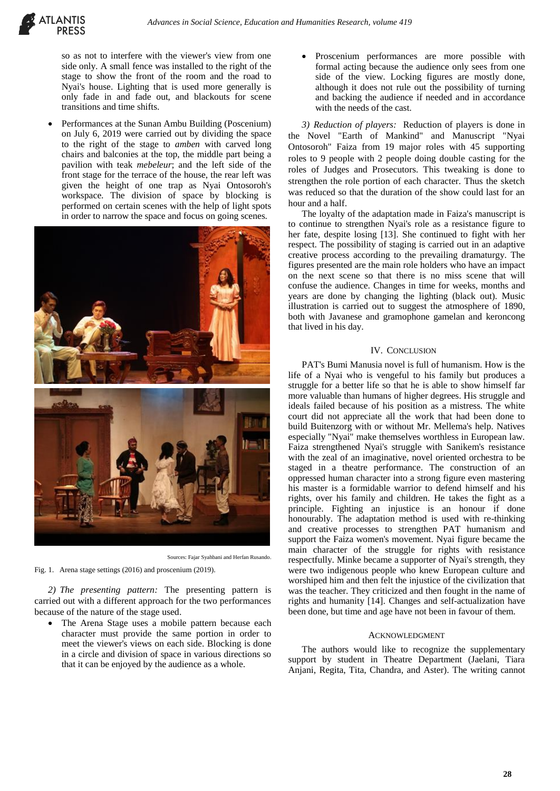

so as not to interfere with the viewer's view from one side only. A small fence was installed to the right of the stage to show the front of the room and the road to Nyai's house. Lighting that is used more generally is only fade in and fade out, and blackouts for scene transitions and time shifts.

 Performances at the Sunan Ambu Building (Poscenium) on July 6, 2019 were carried out by dividing the space to the right of the stage to *amben* with carved long chairs and balconies at the top, the middle part being a pavilion with teak *mebeleur*; and the left side of the front stage for the terrace of the house, the rear left was given the height of one trap as Nyai Ontosoroh's workspace. The division of space by blocking is performed on certain scenes with the help of light spots in order to narrow the space and focus on going scenes.



Sources: Fajar Syahbani and Herfan Rusando.

Fig. 1. Arena stage settings (2016) and proscenium (2019).

*2) The presenting pattern:* The presenting pattern is carried out with a different approach for the two performances because of the nature of the stage used.

 The Arena Stage uses a mobile pattern because each character must provide the same portion in order to meet the viewer's views on each side. Blocking is done in a circle and division of space in various directions so that it can be enjoyed by the audience as a whole.

 Proscenium performances are more possible with formal acting because the audience only sees from one side of the view. Locking figures are mostly done, although it does not rule out the possibility of turning and backing the audience if needed and in accordance with the needs of the cast.

*3) Reduction of players:* Reduction of players is done in the Novel "Earth of Mankind" and Manuscript "Nyai Ontosoroh" Faiza from 19 major roles with 45 supporting roles to 9 people with 2 people doing double casting for the roles of Judges and Prosecutors. This tweaking is done to strengthen the role portion of each character. Thus the sketch was reduced so that the duration of the show could last for an hour and a half.

The loyalty of the adaptation made in Faiza's manuscript is to continue to strengthen Nyai's role as a resistance figure to her fate, despite losing [13]. She continued to fight with her respect. The possibility of staging is carried out in an adaptive creative process according to the prevailing dramaturgy. The figures presented are the main role holders who have an impact on the next scene so that there is no miss scene that will confuse the audience. Changes in time for weeks, months and years are done by changing the lighting (black out). Music illustration is carried out to suggest the atmosphere of 1890, both with Javanese and gramophone gamelan and keroncong that lived in his day.

#### IV. CONCLUSION

PAT's Bumi Manusia novel is full of humanism. How is the life of a Nyai who is vengeful to his family but produces a struggle for a better life so that he is able to show himself far more valuable than humans of higher degrees. His struggle and ideals failed because of his position as a mistress. The white court did not appreciate all the work that had been done to build Buitenzorg with or without Mr. Mellema's help. Natives especially "Nyai" make themselves worthless in European law. Faiza strengthened Nyai's struggle with Sanikem's resistance with the zeal of an imaginative, novel oriented orchestra to be staged in a theatre performance. The construction of an oppressed human character into a strong figure even mastering his master is a formidable warrior to defend himself and his rights, over his family and children. He takes the fight as a principle. Fighting an injustice is an honour if done honourably. The adaptation method is used with re-thinking and creative processes to strengthen PAT humanism and support the Faiza women's movement. Nyai figure became the main character of the struggle for rights with resistance respectfully. Minke became a supporter of Nyai's strength, they were two indigenous people who knew European culture and worshiped him and then felt the injustice of the civilization that was the teacher. They criticized and then fought in the name of rights and humanity [14]. Changes and self-actualization have been done, but time and age have not been in favour of them.

#### ACKNOWLEDGMENT

The authors would like to recognize the supplementary support by student in Theatre Department (Jaelani, Tiara Anjani, Regita, Tita, Chandra, and Aster). The writing cannot